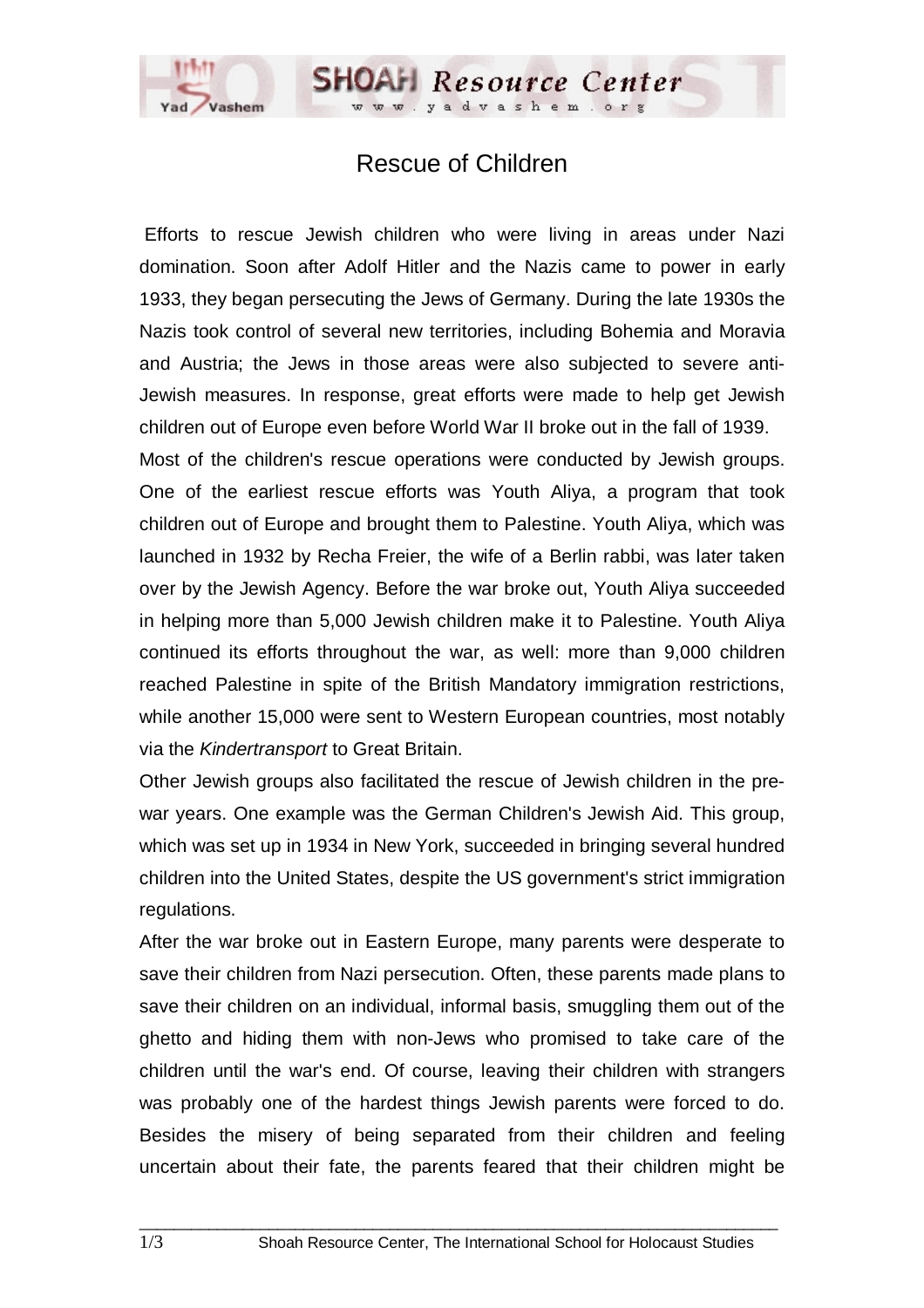## Rescue of Children

**SHOAH** Resource Center

 Efforts to rescue Jewish children who were living in areas under Nazi domination. Soon after Adolf Hitler and the Nazis came to power in early 1933, they began persecuting the Jews of Germany. During the late 1930s the Nazis took control of several new territories, including Bohemia and Moravia and Austria; the Jews in those areas were also subjected to severe anti-Jewish measures. In response, great efforts were made to help get Jewish children out of Europe even before World War II broke out in the fall of 1939.

Most of the children's rescue operations were conducted by Jewish groups. One of the earliest rescue efforts was Youth Aliya, a program that took children out of Europe and brought them to Palestine. Youth Aliya, which was launched in 1932 by Recha Freier, the wife of a Berlin rabbi, was later taken over by the Jewish Agency. Before the war broke out, Youth Aliya succeeded in helping more than 5,000 Jewish children make it to Palestine. Youth Aliya continued its efforts throughout the war, as well: more than 9,000 children reached Palestine in spite of the British Mandatory immigration restrictions, while another 15,000 were sent to Western European countries, most notably via the *Kindertransport* to Great Britain.

Other Jewish groups also facilitated the rescue of Jewish children in the prewar years. One example was the German Children's Jewish Aid. This group, which was set up in 1934 in New York, succeeded in bringing several hundred children into the United States, despite the US government's strict immigration regulations.

After the war broke out in Eastern Europe, many parents were desperate to save their children from Nazi persecution. Often, these parents made plans to save their children on an individual, informal basis, smuggling them out of the ghetto and hiding them with non-Jews who promised to take care of the children until the war's end. Of course, leaving their children with strangers was probably one of the hardest things Jewish parents were forced to do. Besides the misery of being separated from their children and feeling uncertain about their fate, the parents feared that their children might be

 $\_$  ,  $\_$  ,  $\_$  ,  $\_$  ,  $\_$  ,  $\_$  ,  $\_$  ,  $\_$  ,  $\_$  ,  $\_$  ,  $\_$  ,  $\_$  ,  $\_$  ,  $\_$  ,  $\_$  ,  $\_$  ,  $\_$  ,  $\_$  ,  $\_$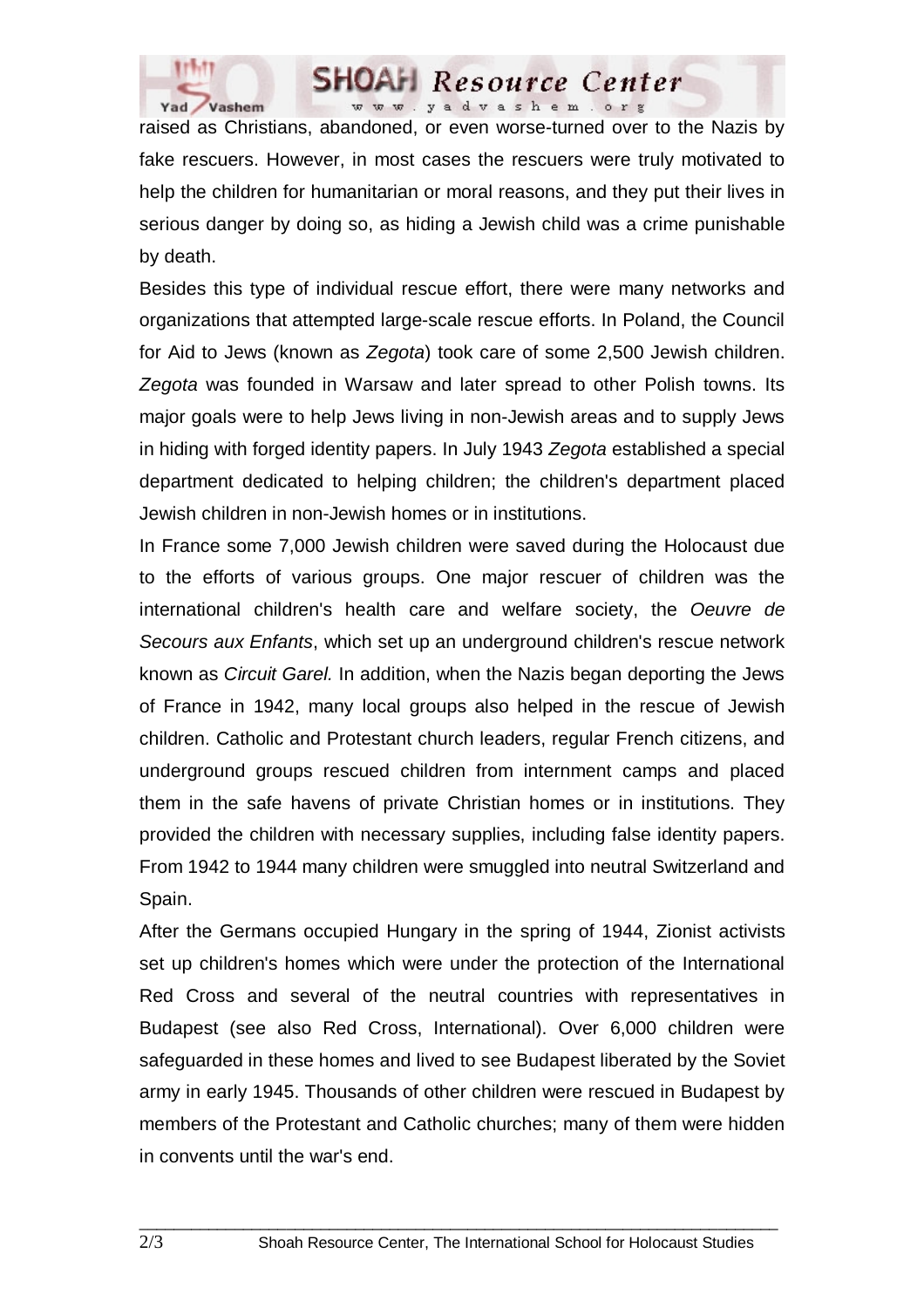



raised as Christians, abandoned, or even worse-turned over to the Nazis by fake rescuers. However, in most cases the rescuers were truly motivated to help the children for humanitarian or moral reasons, and they put their lives in serious danger by doing so, as hiding a Jewish child was a crime punishable by death.

Besides this type of individual rescue effort, there were many networks and organizations that attempted large-scale rescue efforts. In Poland, the Council for Aid to Jews (known as *Zegota*) took care of some 2,500 Jewish children. *Zegota* was founded in Warsaw and later spread to other Polish towns. Its major goals were to help Jews living in non-Jewish areas and to supply Jews in hiding with forged identity papers. In July 1943 *Zegota* established a special department dedicated to helping children; the children's department placed Jewish children in non-Jewish homes or in institutions.

In France some 7,000 Jewish children were saved during the Holocaust due to the efforts of various groups. One major rescuer of children was the international children's health care and welfare society, the *Oeuvre de Secours aux Enfants*, which set up an underground children's rescue network known as *Circuit Garel.* In addition, when the Nazis began deporting the Jews of France in 1942, many local groups also helped in the rescue of Jewish children. Catholic and Protestant church leaders, regular French citizens, and underground groups rescued children from internment camps and placed them in the safe havens of private Christian homes or in institutions. They provided the children with necessary supplies, including false identity papers. From 1942 to 1944 many children were smuggled into neutral Switzerland and Spain.

After the Germans occupied Hungary in the spring of 1944, Zionist activists set up children's homes which were under the protection of the International Red Cross and several of the neutral countries with representatives in Budapest (see also Red Cross, International). Over 6,000 children were safeguarded in these homes and lived to see Budapest liberated by the Soviet army in early 1945. Thousands of other children were rescued in Budapest by members of the Protestant and Catholic churches; many of them were hidden in convents until the war's end.

 $\_$  ,  $\_$  ,  $\_$  ,  $\_$  ,  $\_$  ,  $\_$  ,  $\_$  ,  $\_$  ,  $\_$  ,  $\_$  ,  $\_$  ,  $\_$  ,  $\_$  ,  $\_$  ,  $\_$  ,  $\_$  ,  $\_$  ,  $\_$  ,  $\_$